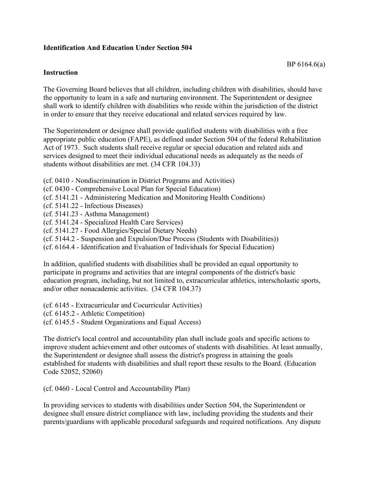## **Identification And Education Under Section 504**

## **Instruction**

The Governing Board believes that all children, including children with disabilities, should have the opportunity to learn in a safe and nurturing environment. The Superintendent or designee shall work to identify children with disabilities who reside within the jurisdiction of the district in order to ensure that they receive educational and related services required by law.

The Superintendent or designee shall provide qualified students with disabilities with a free appropriate public education (FAPE), as defined under Section 504 of the federal Rehabilitation Act of 1973. Such students shall receive regular or special education and related aids and services designed to meet their individual educational needs as adequately as the needs of students without disabilities are met. (34 CFR 104.33)

- (cf. 0410 Nondiscrimination in District Programs and Activities)
- (cf. 0430 Comprehensive Local Plan for Special Education)
- (cf. 5141.21 Administering Medication and Monitoring Health Conditions)
- (cf. 5141.22 Infectious Diseases)
- (cf. 5141.23 Asthma Management)
- (cf. 5141.24 Specialized Health Care Services)
- (cf. 5141.27 Food Allergies/Special Dietary Needs)
- (cf. 5144.2 Suspension and Expulsion/Due Process (Students with Disabilities))
- (cf. 6164.4 Identification and Evaluation of Individuals for Special Education)

In addition, qualified students with disabilities shall be provided an equal opportunity to participate in programs and activities that are integral components of the district's basic education program, including, but not limited to, extracurricular athletics, interscholastic sports, and/or other nonacademic activities. (34 CFR 104.37)

(cf. 6145 - Extracurricular and Cocurricular Activities)

- (cf. 6145.2 Athletic Competition)
- (cf. 6145.5 Student Organizations and Equal Access)

The district's local control and accountability plan shall include goals and specific actions to improve student achievement and other outcomes of students with disabilities. At least annually, the Superintendent or designee shall assess the district's progress in attaining the goals established for students with disabilities and shall report these results to the Board. (Education Code 52052, 52060)

(cf. 0460 - Local Control and Accountability Plan)

In providing services to students with disabilities under Section 504, the Superintendent or designee shall ensure district compliance with law, including providing the students and their parents/guardians with applicable procedural safeguards and required notifications. Any dispute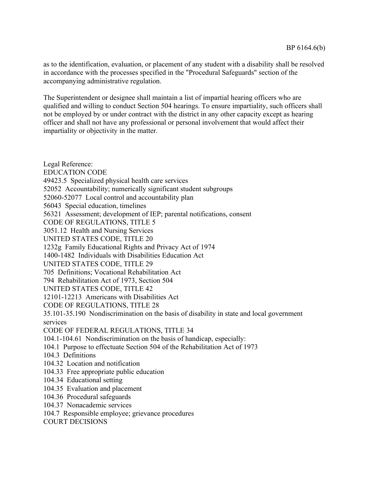as to the identification, evaluation, or placement of any student with a disability shall be resolved in accordance with the processes specified in the "Procedural Safeguards" section of the accompanying administrative regulation.

The Superintendent or designee shall maintain a list of impartial hearing officers who are qualified and willing to conduct Section 504 hearings. To ensure impartiality, such officers shall not be employed by or under contract with the district in any other capacity except as hearing officer and shall not have any professional or personal involvement that would affect their impartiality or objectivity in the matter.

Legal Reference: EDUCATION CODE 49423.5 Specialized physical health care services 52052 Accountability; numerically significant student subgroups 52060-52077 Local control and accountability plan 56043 Special education, timelines 56321 Assessment; development of IEP; parental notifications, consent CODE OF REGULATIONS, TITLE 5 3051.12 Health and Nursing Services UNITED STATES CODE, TITLE 20 1232g Family Educational Rights and Privacy Act of 1974 1400-1482 Individuals with Disabilities Education Act UNITED STATES CODE, TITLE 29 705 Definitions; Vocational Rehabilitation Act 794 Rehabilitation Act of 1973, Section 504 UNITED STATES CODE, TITLE 42 12101-12213 Americans with Disabilities Act CODE OF REGULATIONS, TITLE 28 35.101-35.190 Nondiscrimination on the basis of disability in state and local government services CODE OF FEDERAL REGULATIONS, TITLE 34 104.1-104.61 Nondiscrimination on the basis of handicap, especially: 104.1 Purpose to effectuate Section 504 of the Rehabilitation Act of 1973 104.3 Definitions 104.32 Location and notification 104.33 Free appropriate public education 104.34 Educational setting 104.35 Evaluation and placement 104.36 Procedural safeguards 104.37 Nonacademic services 104.7 Responsible employee; grievance procedures COURT DECISIONS